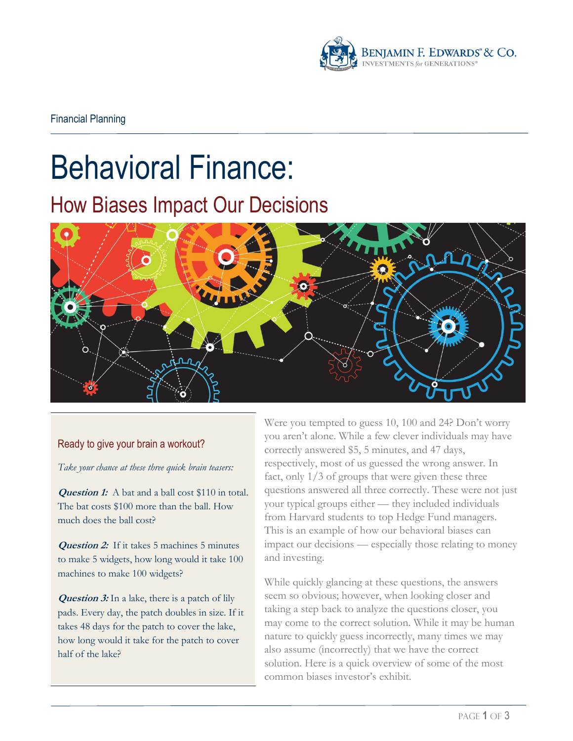

# Behavioral Finance:

# How Biases Impact Our Decisions



#### Ready to give your brain a workout?

*Take your chance at these three quick brain teasers:*

**Question 1:** A bat and a ball cost \$110 in total. The bat costs \$100 more than the ball. How much does the ball cost?

**Question 2:** If it takes 5 machines 5 minutes to make 5 widgets, how long would it take 100 machines to make 100 widgets?

**Question 3:** In a lake, there is a patch of lily pads. Every day, the patch doubles in size. If it takes 48 days for the patch to cover the lake, how long would it take for the patch to cover half of the lake?

Were you tempted to guess 10, 100 and 24? Don't worry you aren't alone. While a few clever individuals may have correctly answered \$5, 5 minutes, and 47 days, respectively, most of us guessed the wrong answer. In fact, only 1/3 of groups that were given these three questions answered all three correctly. These were not just your typical groups either — they included individuals from Harvard students to top Hedge Fund managers. This is an example of how our behavioral biases can impact our decisions — especially those relating to money and investing.

While quickly glancing at these questions, the answers seem so obvious; however, when looking closer and taking a step back to analyze the questions closer, you may come to the correct solution. While it may be human nature to quickly guess incorrectly, many times we may also assume (incorrectly) that we have the correct solution. Here is a quick overview of some of the most common biases investor's exhibit.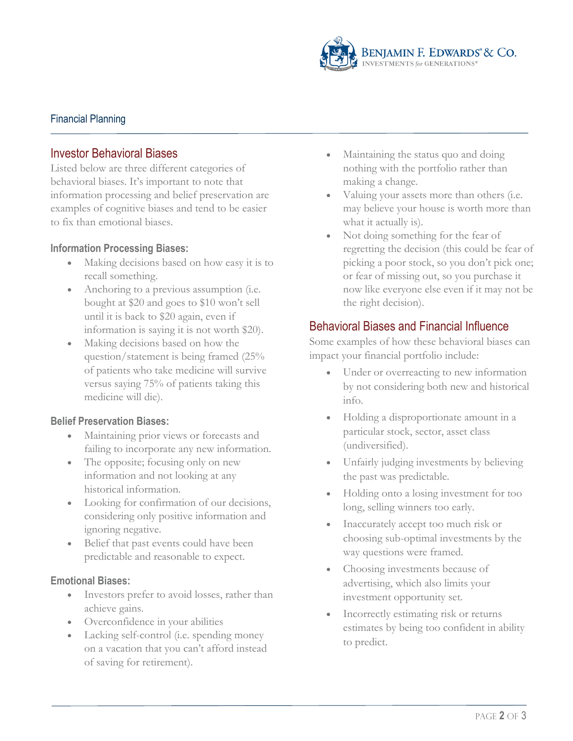

# Financial Planning

# Investor Behavioral Biases

Listed below are three different categories of behavioral biases. It's important to note that information processing and belief preservation are examples of cognitive biases and tend to be easier to fix than emotional biases.

#### **Information Processing Biases:**

- Making decisions based on how easy it is to recall something.
- Anchoring to a previous assumption (i.e. bought at \$20 and goes to \$10 won't sell until it is back to \$20 again, even if information is saying it is not worth \$20).
- Making decisions based on how the question/statement is being framed (25% of patients who take medicine will survive versus saying 75% of patients taking this medicine will die).

#### **Belief Preservation Biases:**

- Maintaining prior views or forecasts and failing to incorporate any new information.
- The opposite; focusing only on new information and not looking at any historical information.
- Looking for confirmation of our decisions, considering only positive information and ignoring negative.
- Belief that past events could have been predictable and reasonable to expect.

#### **Emotional Biases:**

- Investors prefer to avoid losses, rather than achieve gains.
- Overconfidence in your abilities
- Lacking self-control (i.e. spending money on a vacation that you can't afford instead of saving for retirement).
- Maintaining the status quo and doing nothing with the portfolio rather than making a change.
- Valuing your assets more than others (i.e. may believe your house is worth more than what it actually is).
- Not doing something for the fear of regretting the decision (this could be fear of picking a poor stock, so you don't pick one; or fear of missing out, so you purchase it now like everyone else even if it may not be the right decision).

## Behavioral Biases and Financial Influence

Some examples of how these behavioral biases can impact your financial portfolio include:

- Under or overreacting to new information by not considering both new and historical info.
- Holding a disproportionate amount in a particular stock, sector, asset class (undiversified).
- Unfairly judging investments by believing the past was predictable.
- Holding onto a losing investment for too long, selling winners too early.
- Inaccurately accept too much risk or choosing sub-optimal investments by the way questions were framed.
- Choosing investments because of advertising, which also limits your investment opportunity set.
- Incorrectly estimating risk or returns estimates by being too confident in ability to predict.